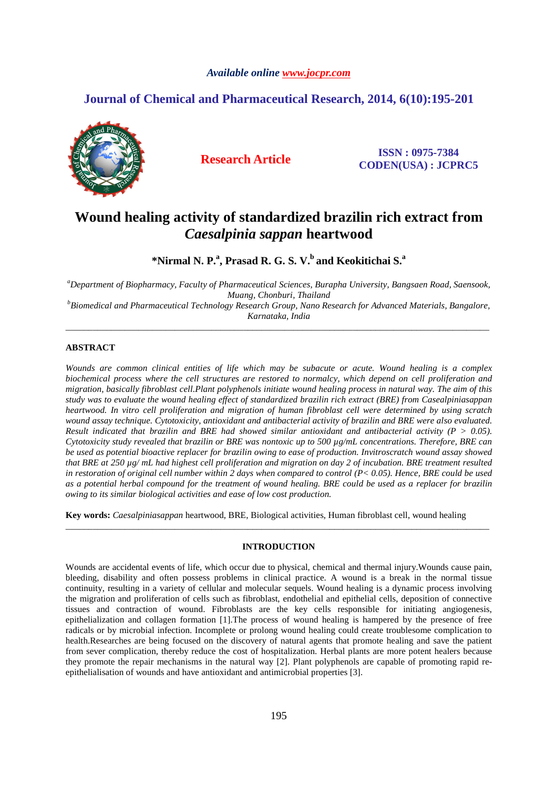### *Available online www.jocpr.com*

# **Journal of Chemical and Pharmaceutical Research, 2014, 6(10):195-201**



**Research Article ISSN : 0975-7384 CODEN(USA) : JCPRC5**

# **Wound healing activity of standardized brazilin rich extract from**  *Caesalpinia sappan* **heartwood**

**\*Nirmal N. P.<sup>a</sup> , Prasad R. G. S. V.<sup>b</sup>and Keokitichai S.<sup>a</sup>**

*<sup>a</sup>Department of Biopharmacy, Faculty of Pharmaceutical Sciences, Burapha University, Bangsaen Road, Saensook, Muang, Chonburi, Thailand* 

*<sup>b</sup>Biomedical and Pharmaceutical Technology Research Group, Nano Research for Advanced Materials, Bangalore, Karnataka, India*  \_\_\_\_\_\_\_\_\_\_\_\_\_\_\_\_\_\_\_\_\_\_\_\_\_\_\_\_\_\_\_\_\_\_\_\_\_\_\_\_\_\_\_\_\_\_\_\_\_\_\_\_\_\_\_\_\_\_\_\_\_\_\_\_\_\_\_\_\_\_\_\_\_\_\_\_\_\_\_\_\_\_\_\_\_\_\_\_\_\_\_\_\_

## **ABSTRACT**

*Wounds are common clinical entities of life which may be subacute or acute. Wound healing is a complex biochemical process where the cell structures are restored to normalcy, which depend on cell proliferation and migration, basically fibroblast cell.Plant polyphenols initiate wound healing process in natural way. The aim of this study was to evaluate the wound healing effect of standardized brazilin rich extract (BRE) from Casealpiniasappan heartwood. In vitro cell proliferation and migration of human fibroblast cell were determined by using scratch wound assay technique. Cytotoxicity, antioxidant and antibacterial activity of brazilin and BRE were also evaluated. Result indicated that brazilin and BRE had showed similar antioxidant and antibacterial activity (P > 0.05). Cytotoxicity study revealed that brazilin or BRE was nontoxic up to 500 µg/mL concentrations. Therefore, BRE can be used as potential bioactive replacer for brazilin owing to ease of production. Invitroscratch wound assay showed that BRE at 250 µg/ mL had highest cell proliferation and migration on day 2 of incubation. BRE treatment resulted in restoration of original cell number within 2 days when compared to control (P< 0.05). Hence, BRE could be used as a potential herbal compound for the treatment of wound healing. BRE could be used as a replacer for brazilin owing to its similar biological activities and ease of low cost production.* 

**Key words:** *Caesalpiniasappan* heartwood, BRE, Biological activities, Human fibroblast cell, wound healing

### **INTRODUCTION**

\_\_\_\_\_\_\_\_\_\_\_\_\_\_\_\_\_\_\_\_\_\_\_\_\_\_\_\_\_\_\_\_\_\_\_\_\_\_\_\_\_\_\_\_\_\_\_\_\_\_\_\_\_\_\_\_\_\_\_\_\_\_\_\_\_\_\_\_\_\_\_\_\_\_\_\_\_\_\_\_\_\_\_\_\_\_\_\_\_\_\_\_\_

Wounds are accidental events of life, which occur due to physical, chemical and thermal injury.Wounds cause pain, bleeding, disability and often possess problems in clinical practice. A wound is a break in the normal tissue continuity, resulting in a variety of cellular and molecular sequels. Wound healing is a dynamic process involving the migration and proliferation of cells such as fibroblast, endothelial and epithelial cells, deposition of connective tissues and contraction of wound. Fibroblasts are the key cells responsible for initiating angiogenesis, epithelialization and collagen formation [1].The process of wound healing is hampered by the presence of free radicals or by microbial infection. Incomplete or prolong wound healing could create troublesome complication to health.Researches are being focused on the discovery of natural agents that promote healing and save the patient from sever complication, thereby reduce the cost of hospitalization. Herbal plants are more potent healers because they promote the repair mechanisms in the natural way [2]. Plant polyphenols are capable of promoting rapid reepithelialisation of wounds and have antioxidant and antimicrobial properties [3].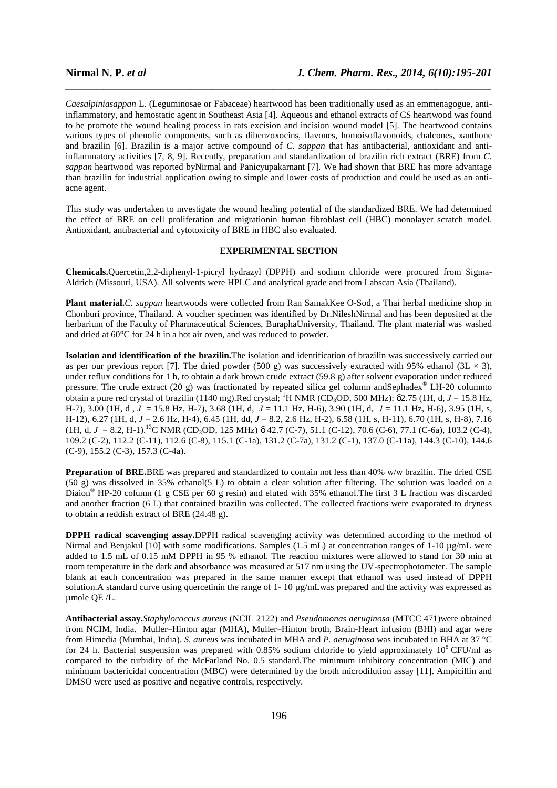*Caesalpiniasappan* L. (Leguminosae or Fabaceae) heartwood has been traditionally used as an emmenagogue, antiinflammatory, and hemostatic agent in Southeast Asia [4]. Aqueous and ethanol extracts of CS heartwood was found to be promote the wound healing process in rats excision and incision wound model [5]. The heartwood contains various types of phenolic components, such as dibenzoxocins, flavones, homoisoflavonoids, chalcones, xanthone and brazilin [6]. Brazilin is a major active compound of *C. sappan* that has antibacterial, antioxidant and antiinflammatory activities [7, 8, 9]. Recently, preparation and standardization of brazilin rich extract (BRE) from *C. sappan* heartwood was reported byNirmal and Panicyupakarnant [7]. We had shown that BRE has more advantage than brazilin for industrial application owing to simple and lower costs of production and could be used as an antiacne agent.

*\_\_\_\_\_\_\_\_\_\_\_\_\_\_\_\_\_\_\_\_\_\_\_\_\_\_\_\_\_\_\_\_\_\_\_\_\_\_\_\_\_\_\_\_\_\_\_\_\_\_\_\_\_\_\_\_\_\_\_\_\_\_\_\_\_\_\_\_\_\_\_\_\_\_\_\_\_\_*

This study was undertaken to investigate the wound healing potential of the standardized BRE. We had determined the effect of BRE on cell proliferation and migrationin human fibroblast cell (HBC) monolayer scratch model. Antioxidant, antibacterial and cytotoxicity of BRE in HBC also evaluated.

# **EXPERIMENTAL SECTION**

**Chemicals.**Quercetin,2,2-diphenyl-1-picryl hydrazyl (DPPH) and sodium chloride were procured from Sigma-Aldrich (Missouri, USA). All solvents were HPLC and analytical grade and from Labscan Asia (Thailand).

**Plant material.***C. sappan* heartwoods were collected from Ran SamakKee O-Sod, a Thai herbal medicine shop in Chonburi province, Thailand. A voucher specimen was identified by Dr.NileshNirmal and has been deposited at the herbarium of the Faculty of Pharmaceutical Sciences, BuraphaUniversity, Thailand. The plant material was washed and dried at 60°C for 24 h in a hot air oven, and was reduced to powder.

**Isolation and identification of the brazilin.**The isolation and identification of brazilin was successively carried out as per our previous report [7]. The dried powder (500 g) was successively extracted with 95% ethanol (3L  $\times$  3), under reflux conditions for 1 h, to obtain a dark brown crude extract (59.8 g) after solvent evaporation under reduced pressure. The crude extract (20 g) was fractionated by repeated silica gel column andSephadex<sup>®</sup> LH-20 columnto obtain a pure red crystal of brazilin (1140 mg).Red crystal; <sup>1</sup>H NMR (CD3OD, 500 MHz): δ2.75 (1H, d, *J* = 15.8 Hz, H-7), 3.00 (1H, d , *J* = 15.8 Hz, H-7), 3.68 (1H, d, *J* = 11.1 Hz, H-6), 3.90 (1H, d, *J* = 11.1 Hz, H-6), 3.95 (1H, s, H-12), 6.27 (1H, d, *J* = 2.6 Hz, H-4), 6.45 (1H, dd, *J* = 8.2, 2.6 Hz, H-2), 6.58 (1H, s, H-11), 6.70 (1H, s, H-8), 7.16  $(1H, d, J = 8.2, H-1).$ <sup>13</sup>C NMR (CD<sub>3</sub>OD, 125 MHz)  $\delta$  42.7 (C-7), 51.1 (C-12), 70.6 (C-6), 77.1 (C-6a), 103.2 (C-4), 109.2 (C-2), 112.2 (C-11), 112.6 (C-8), 115.1 (C-1a), 131.2 (C-7a), 131.2 (C-1), 137.0 (C-11a), 144.3 (C-10), 144.6 (C-9), 155.2 (C-3), 157.3 (C-4a).

**Preparation of BRE.**BRE was prepared and standardized to contain not less than 40% w/w brazilin. The dried CSE  $(50 \text{ g})$  was dissolved in 35% ethanol(5 L) to obtain a clear solution after filtering. The solution was loaded on a Diaion<sup>®</sup> HP-20 column (1 g CSE per 60 g resin) and eluted with 35% ethanol. The first 3 L fraction was discarded and another fraction (6 L) that contained brazilin was collected. The collected fractions were evaporated to dryness to obtain a reddish extract of BRE (24.48 g).

**DPPH radical scavenging assay.**DPPH radical scavenging activity was determined according to the method of Nirmal and Benjakul [10] with some modifications. Samples (1.5 mL) at concentration ranges of 1-10 µg/mL were added to 1.5 mL of 0.15 mM DPPH in 95 % ethanol. The reaction mixtures were allowed to stand for 30 min at room temperature in the dark and absorbance was measured at 517 nm using the UV-spectrophotometer. The sample blank at each concentration was prepared in the same manner except that ethanol was used instead of DPPH solution. A standard curve using quercetinin the range of 1- 10 µg/mLwas prepared and the activity was expressed as µmole QE /L.

**Antibacterial assay.***Staphylococcus aureus* (NCIL 2122) and *Pseudomonas aeruginosa* (MTCC 471)were obtained from NCIM, India. Muller–Hinton agar (MHA), Muller–Hinton broth, Brain-Heart infusion (BHI) and agar were from Himedia (Mumbai, India). *S. aureus* was incubated in MHA and *P. aeruginosa* was incubated in BHA at 37 °C for 24 h. Bacterial suspension was prepared with 0.85% sodium chloride to yield approximately  $10^8$  CFU/ml as compared to the turbidity of the McFarland No. 0.5 standard.The minimum inhibitory concentration (MIC) and minimum bactericidal concentration (MBC) were determined by the broth microdilution assay [11]. Ampicillin and DMSO were used as positive and negative controls, respectively.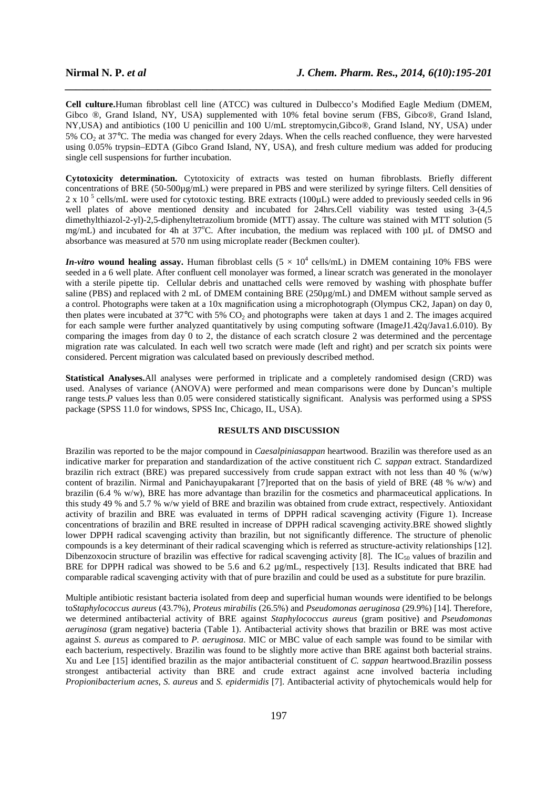**Cell culture.**Human fibroblast cell line (ATCC) was cultured in Dulbecco's Modified Eagle Medium (DMEM, Gibco ®, Grand Island, NY, USA) supplemented with 10% fetal bovine serum (FBS, Gibco®, Grand Island, NY,USA) and antibiotics (100 U penicillin and 100 U/mL streptomycin,Gibco®, Grand Island, NY, USA) under 5% CO2 at 37°C. The media was changed for every 2days. When the cells reached confluence, they were harvested using 0.05% trypsin–EDTA (Gibco Grand Island, NY, USA), and fresh culture medium was added for producing single cell suspensions for further incubation.

*\_\_\_\_\_\_\_\_\_\_\_\_\_\_\_\_\_\_\_\_\_\_\_\_\_\_\_\_\_\_\_\_\_\_\_\_\_\_\_\_\_\_\_\_\_\_\_\_\_\_\_\_\_\_\_\_\_\_\_\_\_\_\_\_\_\_\_\_\_\_\_\_\_\_\_\_\_\_*

**Cytotoxicity determination.** Cytotoxicity of extracts was tested on human fibroblasts. Briefly different concentrations of BRE (50-500µg/mL) were prepared in PBS and were sterilized by syringe filters. Cell densities of 2 x 10<sup>5</sup> cells/mL were used for cytotoxic testing. BRE extracts (100µL) were added to previously seeded cells in 96 well plates of above mentioned density and incubated for 24hrs.Cell viability was tested using 3-(4,5) dimethylthiazol-2-yl)-2,5-diphenyltetrazolium bromide (MTT) assay. The culture was stained with MTT solution (5 mg/mL) and incubated for 4h at 37°C. After incubation, the medium was replaced with 100 µL of DMSO and absorbance was measured at 570 nm using microplate reader (Beckmen coulter).

*In-vitro* wound healing assay. Human fibroblast cells  $(5 \times 10^4 \text{ cells/mL})$  in DMEM containing 10% FBS were seeded in a 6 well plate. After confluent cell monolayer was formed, a linear scratch was generated in the monolayer with a sterile pipette tip. Cellular debris and unattached cells were removed by washing with phosphate buffer saline (PBS) and replaced with 2 mL of DMEM containing BRE (250µg/mL) and DMEM without sample served as a control. Photographs were taken at a 10x magnification using a microphotograph (Olympus CK2, Japan) on day 0, then plates were incubated at  $37^{\circ}$ C with 5% CO<sub>2</sub> and photographs were taken at days 1 and 2. The images acquired for each sample were further analyzed quantitatively by using computing software (ImageJ1.42q/Java1.6.010). By comparing the images from day 0 to 2, the distance of each scratch closure 2 was determined and the percentage migration rate was calculated. In each well two scratch were made (left and right) and per scratch six points were considered. Percent migration was calculated based on previously described method.

**Statistical Analyses.**All analyses were performed in triplicate and a completely randomised design (CRD) was used. Analyses of variance (ANOVA) were performed and mean comparisons were done by Duncan's multiple range tests.*P* values less than 0.05 were considered statistically significant. Analysis was performed using a SPSS package (SPSS 11.0 for windows, SPSS Inc, Chicago, IL, USA).

#### **RESULTS AND DISCUSSION**

Brazilin was reported to be the major compound in *Caesalpiniasappan* heartwood. Brazilin was therefore used as an indicative marker for preparation and standardization of the active constituent rich *C. sappan* extract. Standardized brazilin rich extract (BRE) was prepared successively from crude sappan extract with not less than 40 % (w/w) content of brazilin. Nirmal and Panichayupakarant [7]reported that on the basis of yield of BRE (48 % w/w) and brazilin (6.4 % w/w), BRE has more advantage than brazilin for the cosmetics and pharmaceutical applications. In this study 49 % and 5.7 % w/w yield of BRE and brazilin was obtained from crude extract, respectively. Antioxidant activity of brazilin and BRE was evaluated in terms of DPPH radical scavenging activity (Figure 1). Increase concentrations of brazilin and BRE resulted in increase of DPPH radical scavenging activity.BRE showed slightly lower DPPH radical scavenging activity than brazilin, but not significantly difference. The structure of phenolic compounds is a key determinant of their radical scavenging which is referred as structure-activity relationships [12]. Dibenzoxocin structure of brazilin was effective for radical scavenging activity [8]. The  $IC_{50}$  values of brazilin and BRE for DPPH radical was showed to be 5.6 and 6.2 µg/mL, respectively [13]. Results indicated that BRE had comparable radical scavenging activity with that of pure brazilin and could be used as a substitute for pure brazilin.

Multiple antibiotic resistant bacteria isolated from deep and superficial human wounds were identified to be belongs to*Staphylococcus aureus* (43.7%), *Proteus mirabilis* (26.5%) and *Pseudomonas aeruginosa* (29.9%) [14]. Therefore, we determined antibacterial activity of BRE against *Staphylococcus aureus* (gram positive) and *Pseudomonas aeruginosa* (gram negative) bacteria (Table 1). Antibacterial activity shows that brazilin or BRE was most active against *S. aureus* as compared to *P. aeruginosa*. MIC or MBC value of each sample was found to be similar with each bacterium, respectively. Brazilin was found to be slightly more active than BRE against both bacterial strains. Xu and Lee [15] identified brazilin as the major antibacterial constituent of *C. sappan* heartwood.Brazilin possess strongest antibacterial activity than BRE and crude extract against acne involved bacteria including *Propionibacterium acnes*, *S. aureus* and *S. epidermidis* [7]. Antibacterial activity of phytochemicals would help for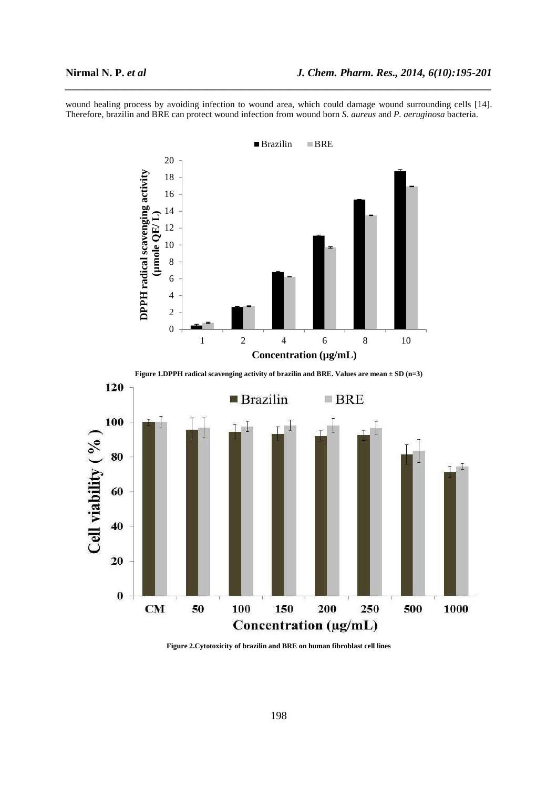wound healing process by avoiding infection to wound area, which could damage wound surrounding cells [14]. Therefore, brazilin and BRE can protect wound infection from wound born *S. aureus* and *P. aeruginosa* bacteria.

*\_\_\_\_\_\_\_\_\_\_\_\_\_\_\_\_\_\_\_\_\_\_\_\_\_\_\_\_\_\_\_\_\_\_\_\_\_\_\_\_\_\_\_\_\_\_\_\_\_\_\_\_\_\_\_\_\_\_\_\_\_\_\_\_\_\_\_\_\_\_\_\_\_\_\_\_\_\_*



**Figure 1.DPPH radical scavenging activity of brazilin and BRE. Values are mean ± SD (n=3)** 



**Figure 2.Cytotoxicity of brazilin and BRE on human fibroblast cell lines**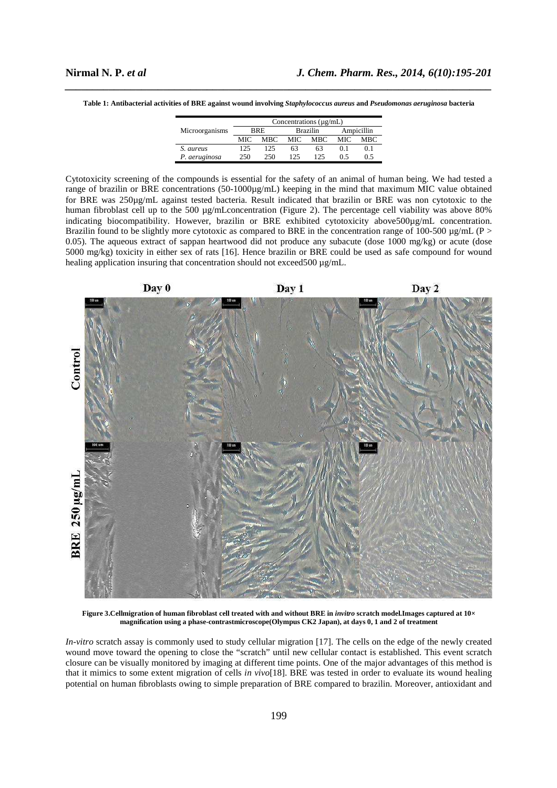| Table 1: Antibacterial activities of BRE against wound involving Staphylococcus aureus and Pseudomonas aeruginosa bacteria |  |
|----------------------------------------------------------------------------------------------------------------------------|--|

|                | Concentrations $(\mu g/mL)$ |      |                 |      |            |     |  |
|----------------|-----------------------------|------|-----------------|------|------------|-----|--|
| Microorganisms | <b>BRE</b>                  |      | <b>Brazilin</b> |      | Ampicillin |     |  |
|                | MIC.                        | MBC. | MIC             | MBC. | MIC.       | MBC |  |
| S. aureus      | 125                         | 125  | 63              | 63   | 0.1        | 0.1 |  |
| P. aeruginosa  | 250.                        | 250. | 125             | 125  | 0.5        | 0.5 |  |

Cytotoxicity screening of the compounds is essential for the safety of an animal of human being. We had tested a range of brazilin or BRE concentrations (50-1000µg/mL) keeping in the mind that maximum MIC value obtained for BRE was 250µg/mL against tested bacteria. Result indicated that brazilin or BRE was non cytotoxic to the human fibroblast cell up to the 500 µg/mLconcentration (Figure 2). The percentage cell viability was above 80% indicating biocompatibility. However, brazilin or BRE exhibited cytotoxicity above500µg/mL concentration. Brazilin found to be slightly more cytotoxic as compared to BRE in the concentration range of 100-500  $\mu$ g/mL (P > 0.05). The aqueous extract of sappan heartwood did not produce any subacute (dose 1000 mg/kg) or acute (dose 5000 mg/kg) toxicity in either sex of rats [16]. Hence brazilin or BRE could be used as safe compound for wound healing application insuring that concentration should not exceed500  $\mu$ g/mL.



Figure 3. Cellmigration of human fibroblast cell treated with and without BRE in *invitro* scratch model. Images captured at  $10\times$ **magnification using a phase-contrastmicroscope(Olympus CK2 Japan), at days 0, 1 and 2 of treatment** 

*In-vitro* scratch assay is commonly used to study cellular migration [17]. The cells on the edge of the newly created wound move toward the opening to close the "scratch" until new cellular contact is established. This event scratch closure can be visually monitored by imaging at different time points. One of the major advantages of this method is that it mimics to some extent migration of cells *in vivo*[18]. BRE was tested in order to evaluate its wound healing potential on human fibroblasts owing to simple preparation of BRE compared to brazilin. Moreover, antioxidant and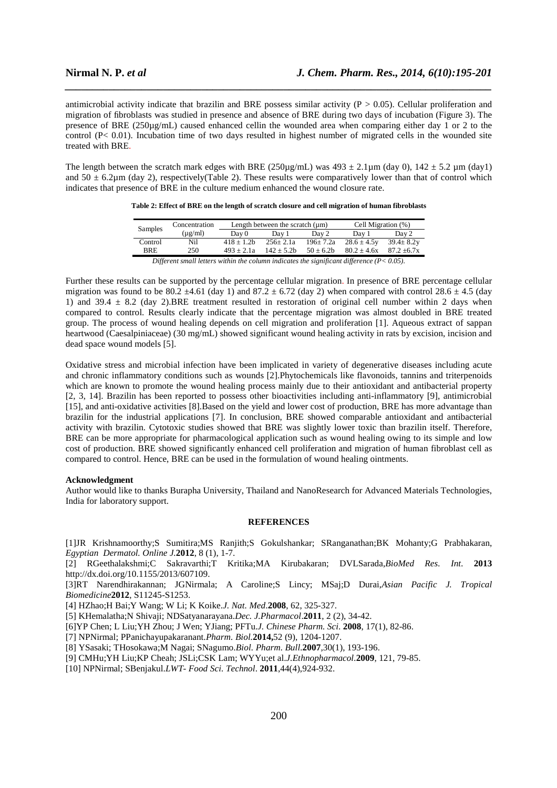antimicrobial activity indicate that brazilin and BRE possess similar activity ( $P > 0.05$ ). Cellular proliferation and migration of fibroblasts was studied in presence and absence of BRE during two days of incubation (Figure 3). The presence of BRE (250µg/mL) caused enhanced cellin the wounded area when comparing either day 1 or 2 to the control (P< 0.01). Incubation time of two days resulted in highest number of migrated cells in the wounded site treated with BRE.

*\_\_\_\_\_\_\_\_\_\_\_\_\_\_\_\_\_\_\_\_\_\_\_\_\_\_\_\_\_\_\_\_\_\_\_\_\_\_\_\_\_\_\_\_\_\_\_\_\_\_\_\_\_\_\_\_\_\_\_\_\_\_\_\_\_\_\_\_\_\_\_\_\_\_\_\_\_\_*

The length between the scratch mark edges with BRE (250µg/mL) was  $493 \pm 2.1 \mu m$  (day 0),  $142 \pm 5.2 \mu m$  (day1) and  $50 \pm 6.2 \mu$ m (day 2), respectively(Table 2). These results were comparatively lower than that of control which indicates that presence of BRE in the culture medium enhanced the wound closure rate.

| Samples                                                                                               | Concentration |                | Length between the scratch $(\mu m)$ | Cell Migration (%) |                  |                  |  |  |  |
|-------------------------------------------------------------------------------------------------------|---------------|----------------|--------------------------------------|--------------------|------------------|------------------|--|--|--|
|                                                                                                       | $(\mu$ g/ml)  | Day 0          | Day 1                                | Day 2              | Dav 1            | Day 2            |  |  |  |
| Control                                                                                               | Nil           | $418 \pm 1.2b$ | $256 \pm 2.1a$                       | $196 \pm 7.2a$     | $28.6 \pm 4.5$ y | $39.4 \pm 8.2$ y |  |  |  |
| <b>BRE</b>                                                                                            | 250           | $493 + 2.1a$   | $142 + 5.2b$                         | $50 + 6.2b$        | $80.2 + 4.6x$    | $87.2 + 6.7x$    |  |  |  |
| $Diff$ graph amall lattors within the column indicator the significant difference ( $D \times 0.05$ ) |               |                |                                      |                    |                  |                  |  |  |  |

**Table 2: Effect of BRE on the length of scratch closure and cell migration of human fibroblasts** 

*Different small letters within the column indicates the significant difference (P< 0.05).* 

Further these results can be supported by the percentage cellular migration. In presence of BRE percentage cellular migration was found to be 80.2  $\pm$ 4.61 (day 1) and 87.2  $\pm$  6.72 (day 2) when compared with control 28.6  $\pm$  4.5 (day 1) and 39.4  $\pm$  8.2 (day 2).BRE treatment resulted in restoration of original cell number within 2 days when compared to control. Results clearly indicate that the percentage migration was almost doubled in BRE treated group. The process of wound healing depends on cell migration and proliferation [1]. Aqueous extract of sappan heartwood (Caesalpiniaceae) (30 mg/mL) showed significant wound healing activity in rats by excision, incision and dead space wound models [5].

Oxidative stress and microbial infection have been implicated in variety of degenerative diseases including acute and chronic inflammatory conditions such as wounds [2].Phytochemicals like flavonoids, tannins and triterpenoids which are known to promote the wound healing process mainly due to their antioxidant and antibacterial property [2, 3, 14]. Brazilin has been reported to possess other bioactivities including anti-inflammatory [9], antimicrobial [15], and anti-oxidative activities [8].Based on the yield and lower cost of production, BRE has more advantage than brazilin for the industrial applications [7]. In conclusion, BRE showed comparable antioxidant and antibacterial activity with brazilin. Cytotoxic studies showed that BRE was slightly lower toxic than brazilin itself. Therefore, BRE can be more appropriate for pharmacological application such as wound healing owing to its simple and low cost of production. BRE showed significantly enhanced cell proliferation and migration of human fibroblast cell as compared to control. Hence, BRE can be used in the formulation of wound healing ointments.

#### **Acknowledgment**

Author would like to thanks Burapha University, Thailand and NanoResearch for Advanced Materials Technologies, India for laboratory support.

#### **REFERENCES**

[1]JR Krishnamoorthy;S Sumitira;MS Ranjith;S Gokulshankar; SRanganathan;BK Mohanty;G Prabhakaran, *Egyptian Dermatol. Online J.***2012**, 8 (1), 1-7.

[2] RGeethalakshmi;C Sakravarthi;T Kritika;MA Kirubakaran; DVLSarada,*BioMed Res. Int.* **2013**  http://dx.doi.org/10.1155/2013/607109.

[3]RT Narendhirakannan; JGNirmala; A Caroline;S Lincy; MSaj;D Durai,*Asian Pacific J. Tropical Biomedicine***2012**, S11245-S1253.

[4] HZhao;H Bai;Y Wang; W Li; K Koike.*J. Nat. Med*.**2008**, 62, 325-327.

[5] KHemalatha;N Shivaji; NDSatyanarayana.*Dec. J.Pharmacol*.**2011**, 2 (2), 34-42.

[6]YP Chen; L Liu;YH Zhou; J Wen; YJiang; PFTu.*J. Chinese Pharm. Sci*. **2008**, 17(1), 82-86.

[7] NPNirmal; PPanichayupakaranant.*Pharm. Biol.***2014,**52 (9), 1204-1207.

[8] YSasaki; THosokawa;M Nagai; SNagumo.*Biol. Pharm. Bull.***2007***,*30(1), 193-196.

[9] CMHu;YH Liu;KP Cheah; JSLi;CSK Lam; WYYu;et al.*J.Ethnopharmacol.***2009**, 121, 79-85.

[10] NPNirmal; SBenjakul.*LWT- Food Sci. Technol*. **2011**,44(4),924-932.